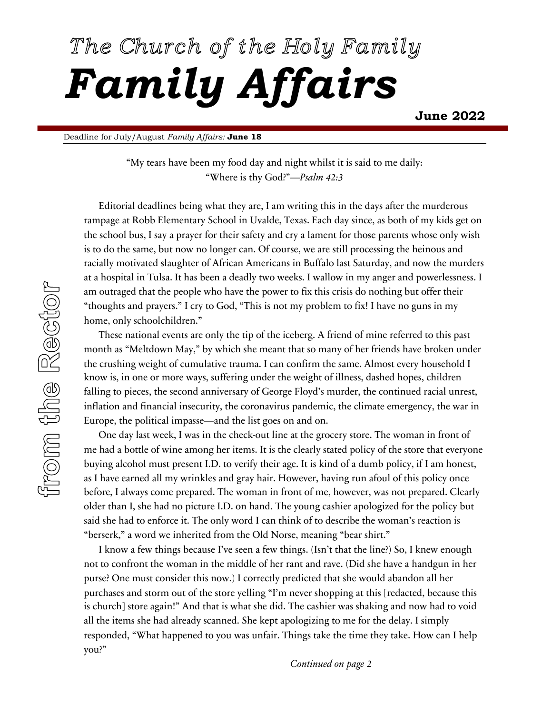# The Church of the Holy Family *Family Affairs* **June 2022**

Deadline for July/August *Family Affairs:* **June 18**

"My tears have been my food day and night whilst it is said to me daily: "Where is thy God?"—*Psalm 42:3*

 Editorial deadlines being what they are, I am writing this in the days after the murderous rampage at Robb Elementary School in Uvalde, Texas. Each day since, as both of my kids get on the school bus, I say a prayer for their safety and cry a lament for those parents whose only wish is to do the same, but now no longer can. Of course, we are still processing the heinous and racially motivated slaughter of African Americans in Buffalo last Saturday, and now the murders at a hospital in Tulsa. It has been a deadly two weeks. I wallow in my anger and powerlessness. I am outraged that the people who have the power to fix this crisis do nothing but offer their "thoughts and prayers." I cry to God, "This is not my problem to fix! I have no guns in my home, only schoolchildren."

 These national events are only the tip of the iceberg. A friend of mine referred to this past month as "Meltdown May," by which she meant that so many of her friends have broken under the crushing weight of cumulative trauma. I can confirm the same. Almost every household I know is, in one or more ways, suffering under the weight of illness, dashed hopes, children falling to pieces, the second anniversary of George Floyd's murder, the continued racial unrest, inflation and financial insecurity, the coronavirus pandemic, the climate emergency, the war in Europe, the political impasse—and the list goes on and on.

 One day last week, I was in the check-out line at the grocery store. The woman in front of me had a bottle of wine among her items. It is the clearly stated policy of the store that everyone buying alcohol must present I.D. to verify their age. It is kind of a dumb policy, if I am honest, as I have earned all my wrinkles and gray hair. However, having run afoul of this policy once before, I always come prepared. The woman in front of me, however, was not prepared. Clearly older than I, she had no picture I.D. on hand. The young cashier apologized for the policy but said she had to enforce it. The only word I can think of to describe the woman's reaction is "berserk," a word we inherited from the Old Norse, meaning "bear shirt."

 I know a few things because I've seen a few things. (Isn't that the line?) So, I knew enough not to confront the woman in the middle of her rant and rave. (Did she have a handgun in her purse? One must consider this now.) I correctly predicted that she would abandon all her purchases and storm out of the store yelling "I'm never shopping at this [redacted, because this is church] store again!" And that is what she did. The cashier was shaking and now had to void all the items she had already scanned. She kept apologizing to me for the delay. I simply responded, "What happened to you was unfair. Things take the time they take. How can I help you?"

*Continued on page 2*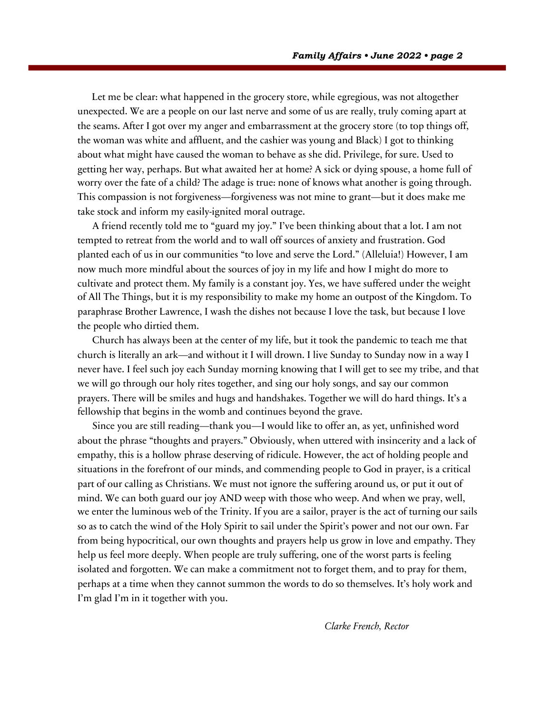Let me be clear: what happened in the grocery store, while egregious, was not altogether unexpected. We are a people on our last nerve and some of us are really, truly coming apart at the seams. After I got over my anger and embarrassment at the grocery store (to top things off, the woman was white and affluent, and the cashier was young and Black) I got to thinking about what might have caused the woman to behave as she did. Privilege, for sure. Used to getting her way, perhaps. But what awaited her at home? A sick or dying spouse, a home full of worry over the fate of a child? The adage is true: none of knows what another is going through. This compassion is not forgiveness—forgiveness was not mine to grant—but it does make me take stock and inform my easily-ignited moral outrage.

 A friend recently told me to "guard my joy." I've been thinking about that a lot. I am not tempted to retreat from the world and to wall off sources of anxiety and frustration. God planted each of us in our communities "to love and serve the Lord." (Alleluia!) However, I am now much more mindful about the sources of joy in my life and how I might do more to cultivate and protect them. My family is a constant joy. Yes, we have suffered under the weight of All The Things, but it is my responsibility to make my home an outpost of the Kingdom. To paraphrase Brother Lawrence, I wash the dishes not because I love the task, but because I love the people who dirtied them.

 Church has always been at the center of my life, but it took the pandemic to teach me that church is literally an ark—and without it I will drown. I live Sunday to Sunday now in a way I never have. I feel such joy each Sunday morning knowing that I will get to see my tribe, and that we will go through our holy rites together, and sing our holy songs, and say our common prayers. There will be smiles and hugs and handshakes. Together we will do hard things. It's a fellowship that begins in the womb and continues beyond the grave.

 Since you are still reading—thank you—I would like to offer an, as yet, unfinished word about the phrase "thoughts and prayers." Obviously, when uttered with insincerity and a lack of empathy, this is a hollow phrase deserving of ridicule. However, the act of holding people and situations in the forefront of our minds, and commending people to God in prayer, is a critical part of our calling as Christians. We must not ignore the suffering around us, or put it out of mind. We can both guard our joy AND weep with those who weep. And when we pray, well, we enter the luminous web of the Trinity. If you are a sailor, prayer is the act of turning our sails so as to catch the wind of the Holy Spirit to sail under the Spirit's power and not our own. Far from being hypocritical, our own thoughts and prayers help us grow in love and empathy. They help us feel more deeply. When people are truly suffering, one of the worst parts is feeling isolated and forgotten. We can make a commitment not to forget them, and to pray for them, perhaps at a time when they cannot summon the words to do so themselves. It's holy work and I'm glad I'm in it together with you.

*Clarke French, Rector*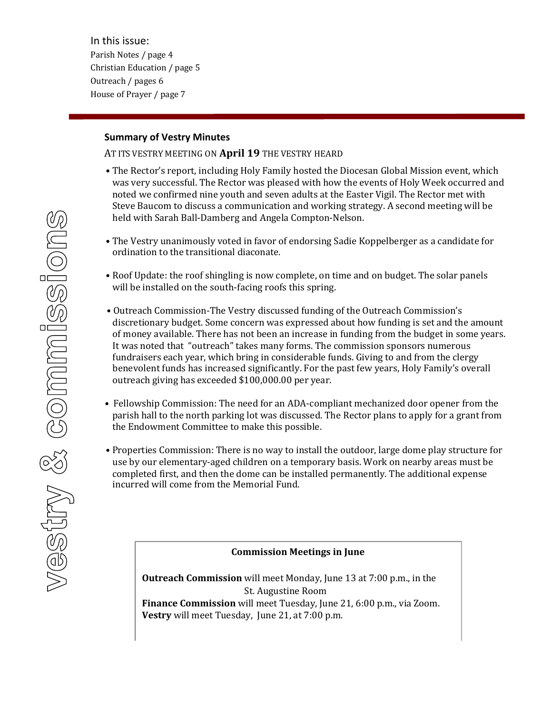In this issue: Parish Notes / page 4 Christian Education / page 5 Outreach / pages 6 House of Prayer / page 7

### **Summary of Vestry Minutes**

AT ITS VESTRY MEETING ON April 19 THE VESTRY HEARD

- The Rector's report, including Holy Family hosted the Diocesan Global Mission event, which was very successful. The Rector was pleased with how the events of Holy Week occurred and noted we confirmed nine youth and seven adults at the Easter Vigil. The Rector met with Steve Baucom to discuss a communication and working strategy. A second meeting will be held with Sarah Ball-Damberg and Angela Compton-Nelson.
- The Vestry unanimously voted in favor of endorsing Sadie Koppelberger as a candidate for ordination to the transitional diaconate.
- Roof Update: the roof shingling is now complete, on time and on budget. The solar panels will be installed on the south-facing roofs this spring.
- Outreach Commission-The Vestry discussed funding of the Outreach Commission's discretionary budget. Some concern was expressed about how funding is set and the amount of money available. There has not been an increase in funding from the budget in some years. It was noted that "outreach" takes many forms. The commission sponsors numerous fundraisers each year, which bring in considerable funds. Giving to and from the clergy benevolent funds has increased significantly. For the past few years, Holy Family's overall outreach giving has exceeded \$100,000.00 per year.
- Fellowship Commission: The need for an ADA-compliant mechanized door opener from the parish hall to the north parking lot was discussed. The Rector plans to apply for a grant from the Endowment Committee to make this possible.
- Properties Commission: There is no way to install the outdoor, large dome play structure for use by our elementary-aged children on a temporary basis. Work on nearby areas must be completed first, and then the dome can be installed permanently. The additional expense incurred will come from the Memorial Fund.

#### **Commission Meetings in June**

**Outreach Commission** will meet Monday, June 13 at 7:00 p.m., in the St. Augustine Room **Finance Commission** will meet Tuesday, June 21, 6:00 p.m., via Zoom. **Vestry** will meet Tuesday, June 21, at 7:00 p.m.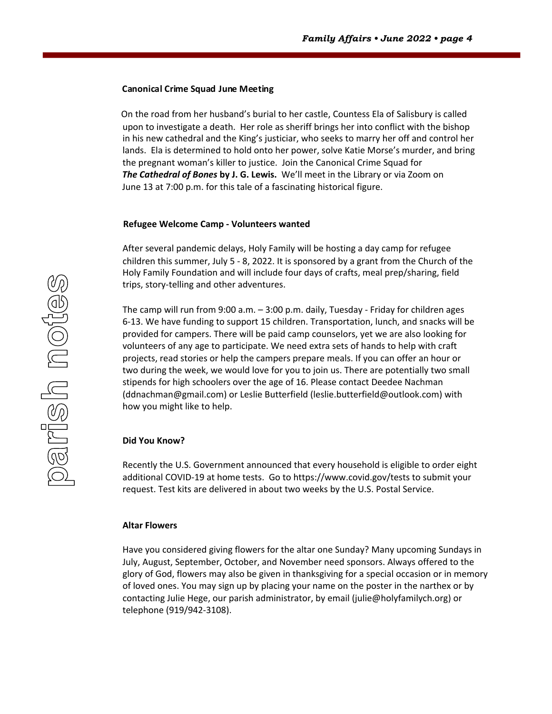#### **Canonical Crime Squad June Meeting**

On the road from her husband's burial to her castle, Countess Ela of Salisbury is called upon to investigate a death. Her role as sheriff brings her into conflict with the bishop in his new cathedral and the King's justiciar, who seeks to marry her off and control her lands. Ela is determined to hold onto her power, solve Katie Morse's murder, and bring the pregnant woman's killer to justice. Join the Canonical Crime Squad for *The Cathedral of Bones* **by J. G. Lewis.** We'll meet in the Library or via Zoom on June 13 at 7:00 p.m. for this tale of a fascinating historical figure.

#### **Refugee Welcome Camp - Volunteers wanted**

After several pandemic delays, Holy Family will be hosting a day camp for refugee children this summer, July 5 - 8, 2022. It is sponsored by a grant from the Church of the Holy Family Foundation and will include four days of crafts, meal prep/sharing, field trips, story-telling and other adventures.

The camp will run from 9:00 a.m. – 3:00 p.m. daily, Tuesday - Friday for children ages 6-13. We have funding to support 15 children. Transportation, lunch, and snacks will be provided for campers. There will be paid camp counselors, yet we are also looking for volunteers of any age to participate. We need extra sets of hands to help with craft projects, read stories or help the campers prepare meals. If you can offer an hour or two during the week, we would love for you to join us. There are potentially two small stipends for high schoolers over the age of 16. Please contact Deedee Nachman (ddnachman@gmail.com) or Leslie Butterfield (leslie.butterfield@outlook.com) with how you might like to help.

#### **Did You Know?**

Recently the U.S. Government announced that every household is eligible to order eight additional COVID-19 at home tests. Go to https://www.covid.gov/tests to submit your request. Test kits are delivered in about two weeks by the U.S. Postal Service.

#### **Altar Flowers**

Have you considered giving flowers for the altar one Sunday? Many upcoming Sundays in July, August, September, October, and November need sponsors. Always offered to the glory of God, flowers may also be given in thanksgiving for a special occasion or in memory of loved ones. You may sign up by placing your name on the poster in the narthex or by contacting Julie Hege, our parish administrator, by email (julie@holyfamilych.org) or telephone (919/942-3108).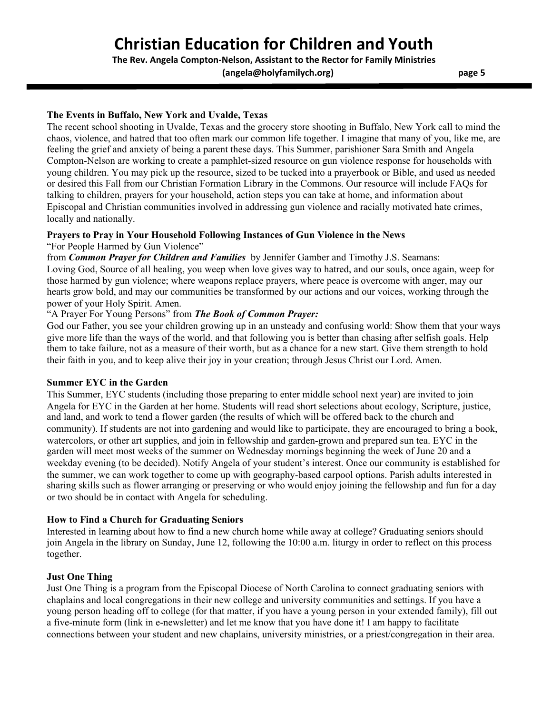# **Christian Education for Children and Youth**

**The Rev. Angela Compton-Nelson, Assistant to the Rector for Family Ministries**

**(angela@holyfamilych.org) page 5**

### **The Events in Buffalo, New York and Uvalde, Texas**

The recent school shooting in Uvalde, Texas and the grocery store shooting in Buffalo, New York call to mind the chaos, violence, and hatred that too often mark our common life together. I imagine that many of you, like me, are feeling the grief and anxiety of being a parent these days. This Summer, parishioner Sara Smith and Angela Compton-Nelson are working to create a pamphlet-sized resource on gun violence response for households with young children. You may pick up the resource, sized to be tucked into a prayerbook or Bible, and used as needed or desired this Fall from our Christian Formation Library in the Commons. Our resource will include FAQs for talking to children, prayers for your household, action steps you can take at home, and information about Episcopal and Christian communities involved in addressing gun violence and racially motivated hate crimes, locally and nationally.

#### **Prayers to Pray in Your Household Following Instances of Gun Violence in the News**

"For People Harmed by Gun Violence"

from *Common Prayer for Children and Families* by Jennifer Gamber and Timothy J.S. Seamans:

Loving God, Source of all healing, you weep when love gives way to hatred, and our souls, once again, weep for those harmed by gun violence; where weapons replace prayers, where peace is overcome with anger, may our hearts grow bold, and may our communities be transformed by our actions and our voices, working through the power of your Holy Spirit. Amen.

### "A Prayer For Young Persons" from *The Book of Common Prayer:*

God our Father, you see your children growing up in an unsteady and confusing world: Show them that your ways give more life than the ways of the world, and that following you is better than chasing after selfish goals. Help them to take failure, not as a measure of their worth, but as a chance for a new start. Give them strength to hold their faith in you, and to keep alive their joy in your creation; through Jesus Christ our Lord. Amen.

#### **Summer EYC in the Garden**

This Summer, EYC students (including those preparing to enter middle school next year) are invited to join Angela for EYC in the Garden at her home. Students will read short selections about ecology, Scripture, justice, and land, and work to tend a flower garden (the results of which will be offered back to the church and community). If students are not into gardening and would like to participate, they are encouraged to bring a book, watercolors, or other art supplies, and join in fellowship and garden-grown and prepared sun tea. EYC in the garden will meet most weeks of the summer on Wednesday mornings beginning the week of June 20 and a weekday evening (to be decided). Notify Angela of your student's interest. Once our community is established for the summer, we can work together to come up with geography-based carpool options. Parish adults interested in sharing skills such as flower arranging or preserving or who would enjoy joining the fellowship and fun for a day or two should be in contact with Angela for scheduling.

#### **How to Find a Church for Graduating Seniors**

Interested in learning about how to find a new church home while away at college? Graduating seniors should join Angela in the library on Sunday, June 12, following the 10:00 a.m. liturgy in order to reflect on this process together.

#### **Just One Thing**

Just One Thing is a program from the Episcopal Diocese of North Carolina to connect graduating seniors with chaplains and local congregations in their new college and university communities and settings. If you have a young person heading off to college (for that matter, if you have a young person in your extended family), fill out a five-minute form (link in e-newsletter) and let me know that you have done it! I am happy to facilitate connections between your student and new chaplains, university ministries, or a priest/congregation in their area.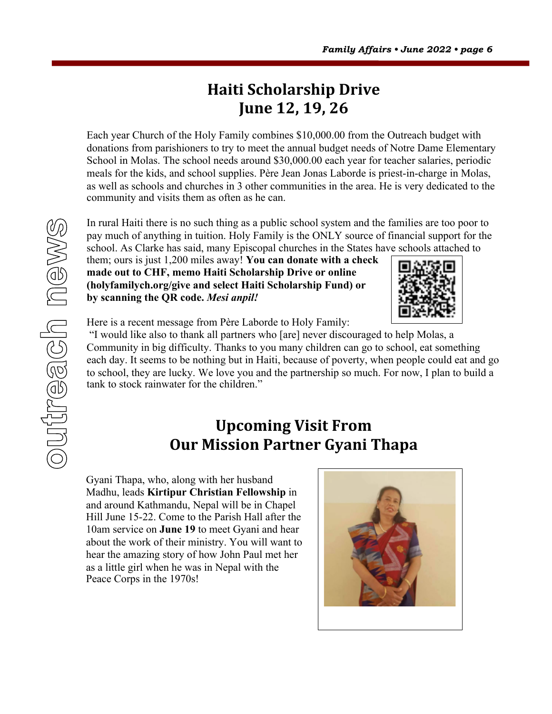# **Haiti Scholarship Drive June 12, 19, 26**

Each year Church of the Holy Family combines \$10,000.00 from the Outreach budget with donations from parishioners to try to meet the annual budget needs of Notre Dame Elementary School in Molas. The school needs around \$30,000.00 each year for teacher salaries, periodic meals for the kids, and school supplies. Père Jean Jonas Laborde is priest-in-charge in Molas, as well as schools and churches in 3 other communities in the area. He is very dedicated to the community and visits them as often as he can.

outreach news

In rural Haiti there is no such thing as a public school system and the families are too poor to pay much of anything in tuition. Holy Family is the ONLY source of financial support for the school. As Clarke has said, many Episcopal churches in the States have schools attached to

them; ours is just 1,200 miles away! **You can donate with a check made out to CHF, memo Haiti Scholarship Drive or online (holyfamilych.org/give and select Haiti Scholarship Fund) or by scanning the QR code.** *Mesi anpil!*



Here is a recent message from Père Laborde to Holy Family:

"I would like also to thank all partners who [are] never discouraged to help Molas, a Community in big difficulty. Thanks to you many children can go to school, eat something each day. It seems to be nothing but in Haiti, because of poverty, when people could eat and go to school, they are lucky. We love you and the partnership so much. For now, I plan to build a tank to stock rainwater for the children."

# **Upcoming Visit From Our Mission Partner Gyani Thapa**

Gyani Thapa, who, along with her husband Madhu, leads **Kirtipur Christian Fellowship** in and around Kathmandu, Nepal will be in Chapel Hill June 15-22. Come to the Parish Hall after the 10am service on **June 19** to meet Gyani and hear about the work of their ministry. You will want to hear the amazing story of how John Paul met her as a little girl when he was in Nepal with the Peace Corps in the 1970s!

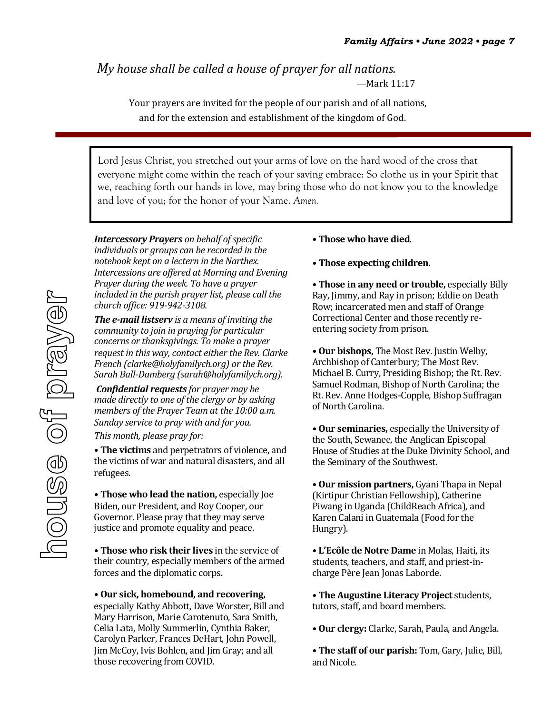*My* house shall be called a house of prayer for all nations. —Mark 11:17

> Your prayers are invited for the people of our parish and of all nations, and for the extension and establishment of the kingdom of God.

Lord Jesus Christ, you stretched out your arms of love on the hard wood of the cross that everyone might come within the reach of your saving embrace: So clothe us in your Spirit that we, reaching forth our hands in love, may bring those who do not know you to the knowledge and love of you; for the honor of your Name. *Amen.*

**Intercessory Prayers** on behalf of specific *individuals or groups can be recorded in the notebook kept on a lectern in the Narthex.* Intercessions are offered at Morning and Evening *Prayer during the week. To have a prayer included in the parish prayer list, please call the church office: 919-942-3108.* 

*The e-mail listserv* is a means of inviting the *community to join in praying for particular concerns or thanksgivings. To make a prayer request in this way, contact either the Rev. Clarke French (clarke@holyfamilych.org) or the Rev. Sarah Ball-Damberg (sarah@holyfamilych.org).*

*Confidential requests for prayer may be made directly to one of the clergy or by asking members of the Prayer Team at the 10:00 a.m. Sunday service* to *pray* with and for you. This month, please pray for:

• The victims and perpetrators of violence, and the victims of war and natural disasters, and all refugees.

• **Those who lead the nation,** especially Joe Biden, our President, and Roy Cooper, our Governor. Please pray that they may serve justice and promote equality and peace.

• **Those who risk their lives** in the service of their country, especially members of the armed forces and the diplomatic corps.

#### **• Our sick, homebound, and recovering,**

especially Kathy Abbott, Dave Worster, Bill and Mary Harrison, Marie Carotenuto, Sara Smith, Celia Lata, Molly Summerlin, Cynthia Baker, Carolyn Parker, Frances DeHart, John Powell, Jim McCoy, Ivis Bohlen, and Jim Gray; and all those recovering from COVID.

- **• Those who have died**.
- **• Those expecting children.**

• **Those in any need or trouble,** especially Billy Ray, Jimmy, and Ray in prison; Eddie on Death Row; incarcerated men and staff of Orange Correctional Center and those recently reentering society from prison.

• Our bishops, The Most Rev. Justin Welby, Archbishop of Canterbury; The Most Rev. Michael B. Curry, Presiding Bishop; the Rt. Rev. Samuel Rodman, Bishop of North Carolina; the Rt. Rev. Anne Hodges-Copple, Bishop Suffragan of North Carolina.

• Our seminaries, especially the University of the South, Sewanee, the Anglican Episcopal House of Studies at the Duke Divinity School, and the Seminary of the Southwest.

• Our mission partners, Gyani Thapa in Nepal (Kirtipur Christian Fellowship), Catherine Piwang in Uganda (ChildReach Africa), and Karen Calani in Guatemala (Food for the Hungry).

**• L'Ecôle de Notre Dame** in Molas, Haiti, its students, teachers, and staff, and priest-incharge Père Jean Jonas Laborde.

• The Augustine Literacy Project students, tutors, staff, and board members.

**• Our clergy:** Clarke, Sarah, Paula, and Angela.

• The staff of our parish: Tom, Gary, Julie, Bill, and Nicole.